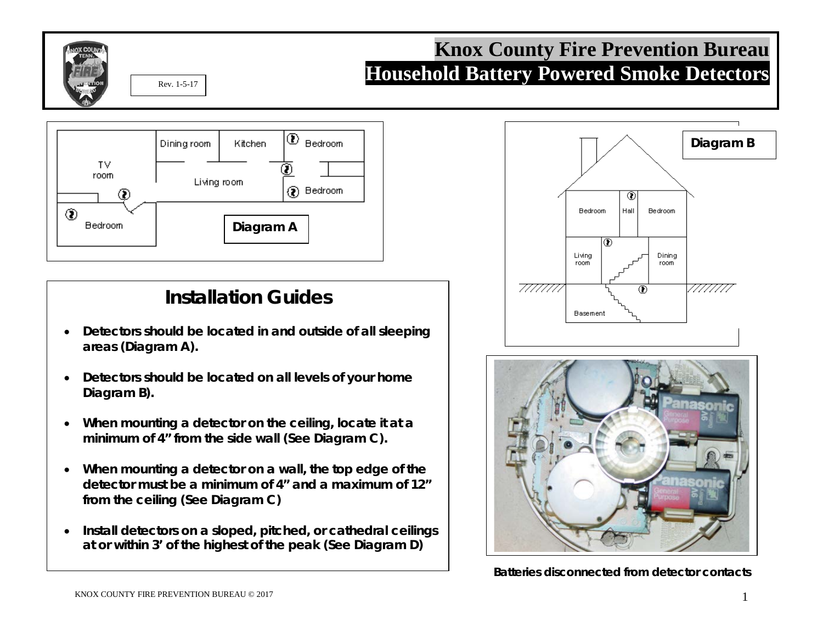

## **Knox County Fire Prevention Bureau Household Battery Powered Smoke Detectors**



## **Installation Guides**

- **Detectors should be located in and outside of all sleeping areas (Diagram A).**
- **Detectors should be located on all levels of your home Diagram B).**
- **When mounting a detector on the ceiling, locate it at a minimum of 4" from the side wall (See Diagram C).**
- **When mounting a detector on a wall, the top edge of the detector must be a minimum of 4" and a maximum of 12" from the ceiling (See Diagram C)**
- **Install detectors on a sloped, pitched, or cathedral ceilings at or within 3' of the highest of the peak (See Diagram D)**





**Batteries disconnected from detector contacts**